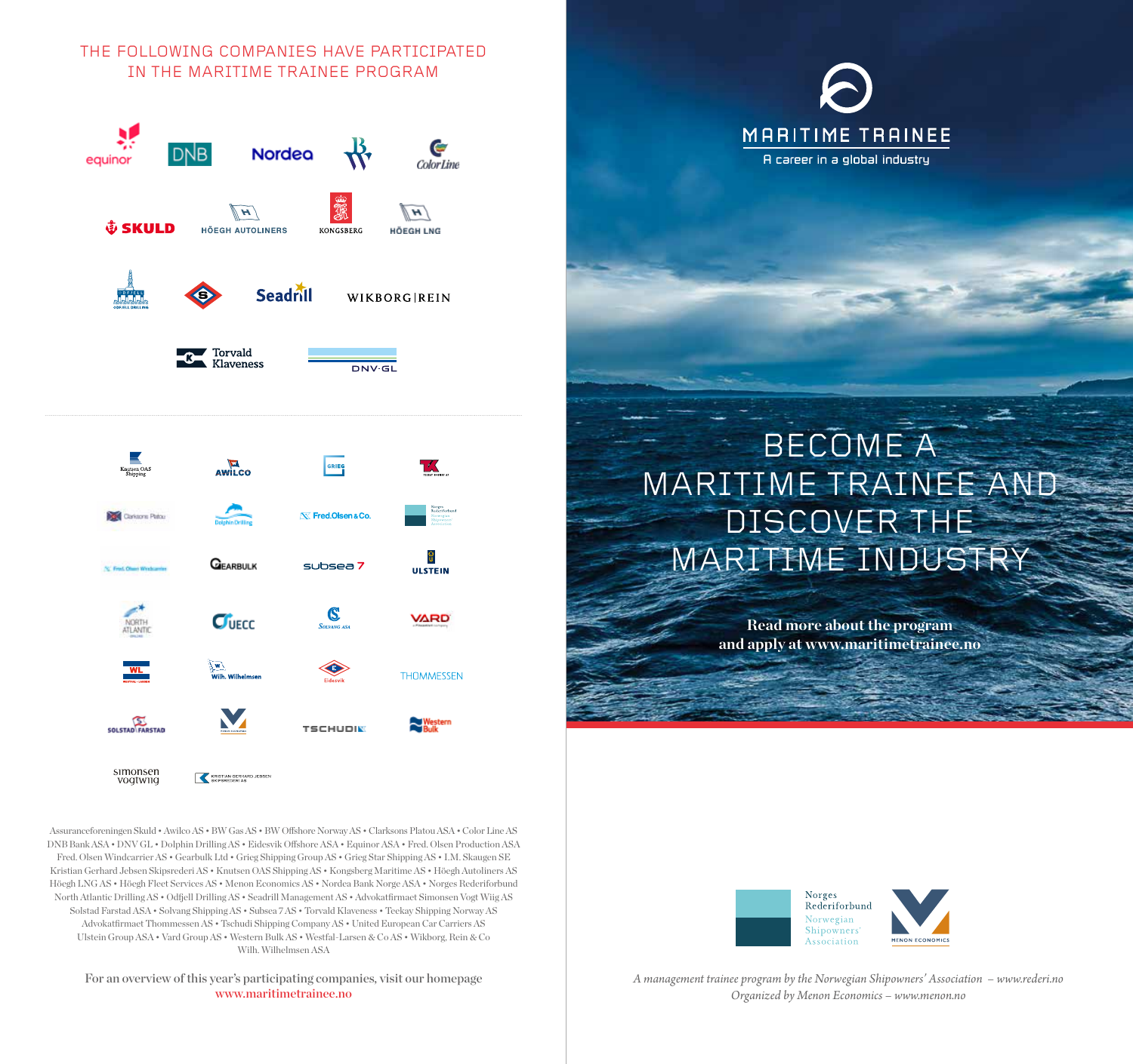### THE FOLLOWING COMPANIES HAVE PARTICIPATED IN THE MARITIME TRAINEE PROGRAM



# $S_{\text{orxase}}$ **VARD**  $C<sub>vec</sub>$

**TSCHUDIN** 

**THOMMESSEN** 

simonsen<br>vogtwiig KRISTIAN GERHARD JEBSEN Assuranceforeningen Skuld • Awilco AS • BW Gas AS • BW Offshore Norway AS • Clarksons Platou ASA • Color Line AS DNB Bank ASA • DNV GL • Dolphin Drilling AS • Eidesvik Offshore ASA • Equinor ASA • Fred. Olsen Production ASA Fred. Olsen Windcarrier AS • Gearbulk Ltd • Grieg Shipping Group AS • Grieg Star Shipping AS • I.M. Skaugen SE Kristian Gerhard Jebsen Skipsrederi AS • Knutsen OAS Shipping AS • Kongsberg Maritime AS • Höegh Autoliners AS Höegh LNG AS • Höegh Fleet Services AS • Menon Economics AS • Nordea Bank Norge ASA • Norges Rederiforbund North Atlantic Drilling AS • Odfjell Drilling AS • Seadrill Management AS • Advokatfirmaet Simonsen Vogt Wiig AS Solstad Farstad ASA • Solvang Shipping AS • Subsea 7 AS • Torvald Klaveness • Teekay Shipping Norway AS

SOLSTAD FARSTAD

Advokatfirmaet Thommessen AS • Tschudi Shipping Company AS • United European Car Carriers AS Ulstein Group ASA • Vard Group AS • Western Bulk AS • Westfal-Larsen & Co AS • Wikborg, Rein & Co Wilh. Wilhelmsen ASA

#### For an overview of this year's participating companies, visit our homepage www.maritimetrainee.no



## BECOME A MARITIME TRAINEE AND DISCOVER THE MARITIME INDUSTRY

**Read more about the program and apply at www.maritimetrainee.no**



*A management trainee program by the Norwegian Shipowners' Association – www.rederi.no Organized by Menon Economics – www.menon.no*